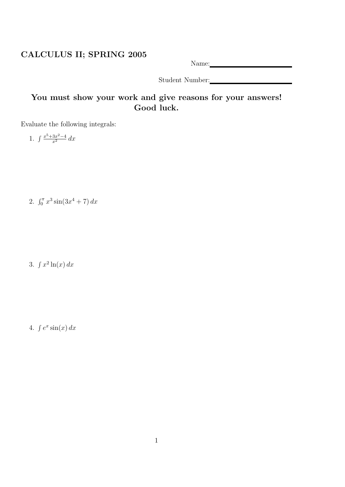## CALCULUS II; SPRING 2005

Name: Name and Solid Research and Solid Research and Solid Research and Solid Research and Solid Research and Solid Research and Solid Research and Solid Research and Solid Research and Solid Research and Solid Research an

Student Number:

## You must show your work and give reasons for your answers! Good luck.

Evaluate the following integrals:

1.  $\int \frac{x^5 + 3x^2 - 4}{x^2} dx$ 

2.  $\int_0^{\pi} x^3 \sin(3x^4 + 7) dx$ 

3.  $\int x^2 \ln(x) dx$ 

4.  $\int e^x \sin(x) dx$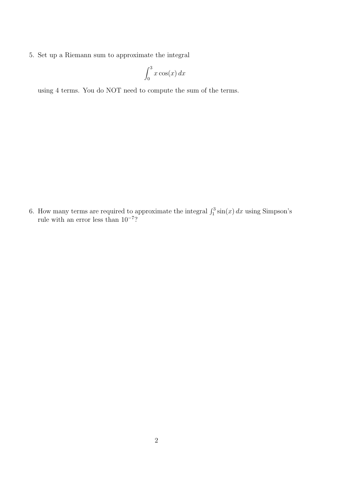5. Set up a Riemann sum to approximate the integral

$$
\int_0^3 x \cos(x) \, dx
$$

using 4 terms. You do NOT need to compute the sum of the terms.

6. How many terms are required to approximate the integral  $\int_1^3 \sin(x) dx$  using Simpson's rule with an error less than 10<sup>-7</sup>?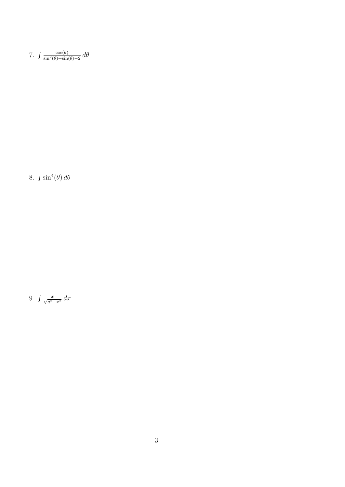7.  $\int \frac{\cos(\theta)}{\sin^2(\theta) + \sin(\theta) - 2} d\theta$ 

8.  $\int \sin^4(\theta) d\theta$ 

9.  $\int \frac{x}{\sqrt{a^2-x^2}} dx$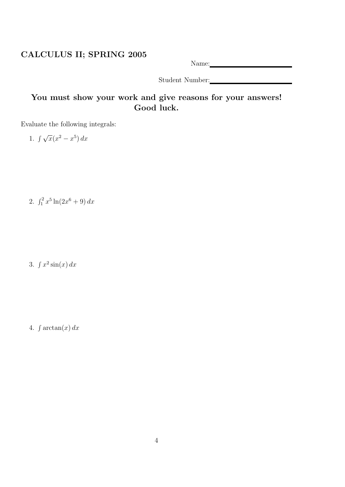## CALCULUS II; SPRING 2005

Name: Name and Solid Research and Solid Research and Solid Research and Solid Research and Solid Research and Solid Research and Solid Research and Solid Research and Solid Research and Solid Research and Solid Research an

Student Number:

## You must show your work and give reasons for your answers! Good luck.

Evaluate the following integrals:

1.  $\int \sqrt{x(x^2 - x^5)} dx$ 

2.  $\int_1^2 x^5 \ln(2x^6 + 9) dx$ 

3.  $\int x^2 \sin(x) dx$ 

4.  $\int \arctan(x) dx$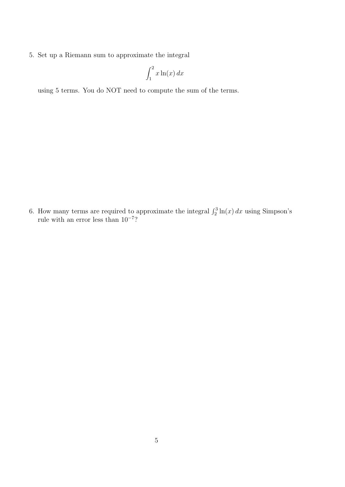5. Set up a Riemann sum to approximate the integral

$$
\int_1^2 x \ln(x) \, dx
$$

using 5 terms. You do NOT need to compute the sum of the terms.

6. How many terms are required to approximate the integral  $\int_2^3 \ln(x) dx$  using Simpson's rule with an error less than 10<sup>-7</sup>?